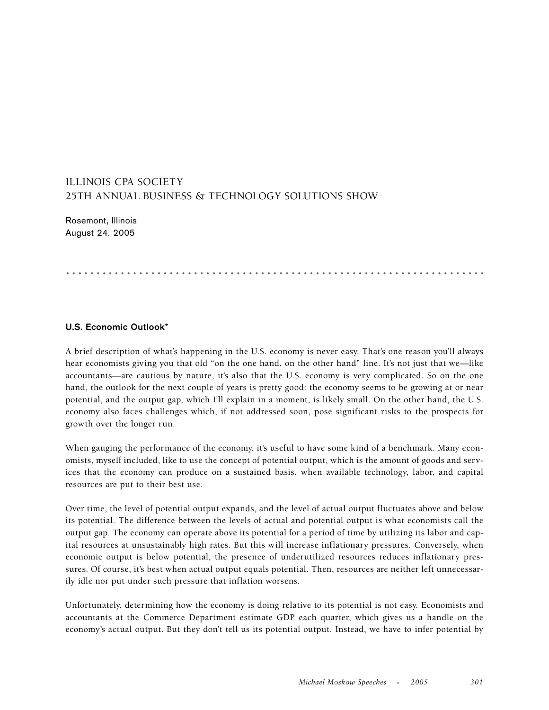## ILLINOIS CPA SOCIETY 25TH ANNUAL BUSINESS & TECHNOLOGY SOLUTIONS SHOW

Rosemont, Illinois August 24, 2005

.....................................................................

## **U.S. Economic Outlook\***

A brief description of what's happening in the U.S. economy is never easy. That's one reason you'll always hear economists giving you that old "on the one hand, on the other hand" line. It's not just that we—like accountants—are cautious by nature, it's also that the U.S. economy is very complicated. So on the one hand, the outlook for the next couple of years is pretty good: the economy seems to be growing at or near potential, and the output gap, which I'll explain in a moment, is likely small. On the other hand, the U.S. economy also faces challenges which, if not addressed soon, pose significant risks to the prospects for growth over the longer run.

When gauging the performance of the economy, it's useful to have some kind of a benchmark. Many economists, myself included, like to use the concept of potential output, which is the amount of goods and services that the economy can produce on a sustained basis, when available technology, labor, and capital resources are put to their best use.

Over time, the level of potential output expands, and the level of actual output fluctuates above and below its potential. The difference between the levels of actual and potential output is what economists call the output gap. The economy can operate above its potential for a period of time by utilizing its labor and capital resources at unsustainably high rates. But this will increase inflationary pressures. Conversely, when economic output is below potential, the presence of underutilized resources reduces inflationary pressures. Of course, it's best when actual output equals potential. Then, resources are neither left unnecessarily idle nor put under such pressure that inflation worsens.

Unfortunately, determining how the economy is doing relative to its potential is not easy. Economists and accountants at the Commerce Department estimate GDP each quarter, which gives us a handle on the economy's actual output. But they don't tell us its potential output. Instead, we have to infer potential by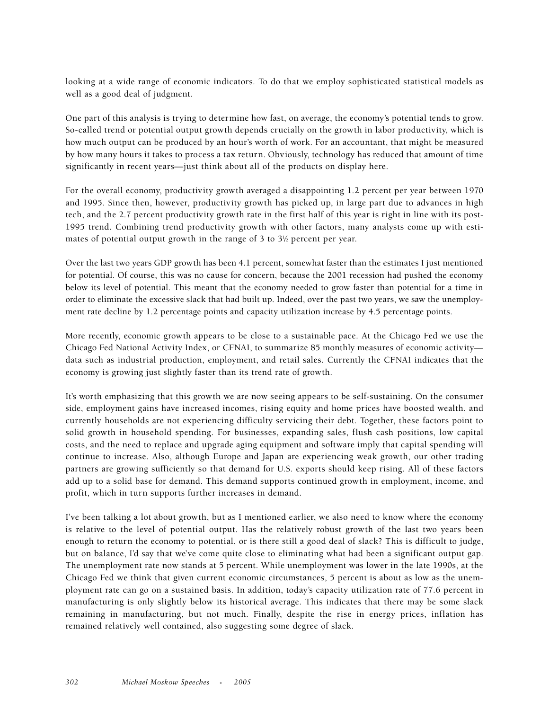looking at a wide range of economic indicators. To do that we employ sophisticated statistical models as well as a good deal of judgment.

One part of this analysis is trying to determine how fast, on average, the economy's potential tends to grow. So-called trend or potential output growth depends crucially on the growth in labor productivity, which is how much output can be produced by an hour's worth of work. For an accountant, that might be measured by how many hours it takes to process a tax return. Obviously, technology has reduced that amount of time significantly in recent years—just think about all of the products on display here.

For the overall economy, productivity growth averaged a disappointing 1.2 percent per year between 1970 and 1995. Since then, however, productivity growth has picked up, in large part due to advances in high tech, and the 2.7 percent productivity growth rate in the first half of this year is right in line with its post-1995 trend. Combining trend productivity growth with other factors, many analysts come up with estimates of potential output growth in the range of 3 to  $3\%$  percent per year.

Over the last two years GDP growth has been 4.1 percent, somewhat faster than the estimates I just mentioned for potential. Of course, this was no cause for concern, because the 2001 recession had pushed the economy below its level of potential. This meant that the economy needed to grow faster than potential for a time in order to eliminate the excessive slack that had built up. Indeed, over the past two years, we saw the unemployment rate decline by 1.2 percentage points and capacity utilization increase by 4.5 percentage points.

More recently, economic growth appears to be close to a sustainable pace. At the Chicago Fed we use the Chicago Fed National Activity Index, or CFNAI, to summarize 85 monthly measures of economic activity data such as industrial production, employment, and retail sales. Currently the CFNAI indicates that the economy is growing just slightly faster than its trend rate of growth.

It's worth emphasizing that this growth we are now seeing appears to be self-sustaining. On the consumer side, employment gains have increased incomes, rising equity and home prices have boosted wealth, and currently households are not experiencing difficulty servicing their debt. Together, these factors point to solid growth in household spending. For businesses, expanding sales, flush cash positions, low capital costs, and the need to replace and upgrade aging equipment and software imply that capital spending will continue to increase. Also, although Europe and Japan are experiencing weak growth, our other trading partners are growing sufficiently so that demand for U.S. exports should keep rising. All of these factors add up to a solid base for demand. This demand supports continued growth in employment, income, and profit, which in turn supports further increases in demand.

I've been talking a lot about growth, but as I mentioned earlier, we also need to know where the economy is relative to the level of potential output. Has the relatively robust growth of the last two years been enough to return the economy to potential, or is there still a good deal of slack? This is difficult to judge, but on balance, I'd say that we've come quite close to eliminating what had been a significant output gap. The unemployment rate now stands at 5 percent. While unemployment was lower in the late 1990s, at the Chicago Fed we think that given current economic circumstances, 5 percent is about as low as the unemployment rate can go on a sustained basis. In addition, today's capacity utilization rate of 77.6 percent in manufacturing is only slightly below its historical average. This indicates that there may be some slack remaining in manufacturing, but not much. Finally, despite the rise in energy prices, inflation has remained relatively well contained, also suggesting some degree of slack.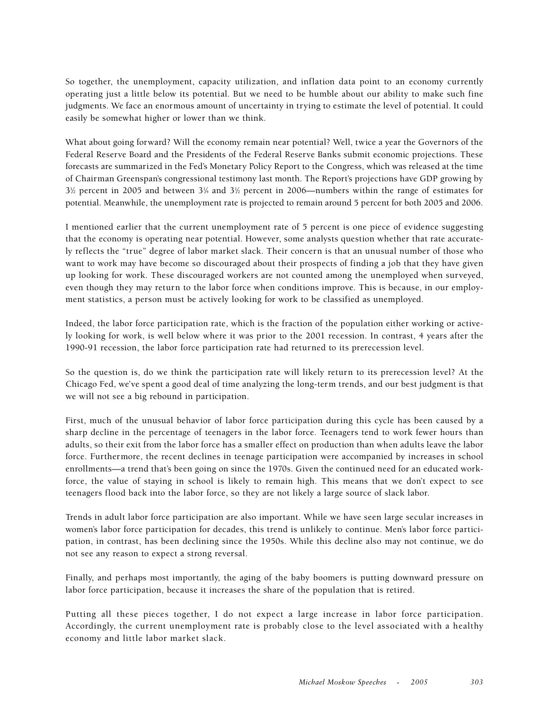So together, the unemployment, capacity utilization, and inflation data point to an economy currently operating just a little below its potential. But we need to be humble about our ability to make such fine judgments. We face an enormous amount of uncertainty in trying to estimate the level of potential. It could easily be somewhat higher or lower than we think.

What about going forward? Will the economy remain near potential? Well, twice a year the Governors of the Federal Reserve Board and the Presidents of the Federal Reserve Banks submit economic projections. These forecasts are summarized in the Fed's Monetary Policy Report to the Congress, which was released at the time of Chairman Greenspan's congressional testimony last month. The Report's projections have GDP growing by  $3\%$  percent in 2005 and between  $3\%$  and  $3\%$  percent in 2006—numbers within the range of estimates for potential. Meanwhile, the unemployment rate is projected to remain around 5 percent for both 2005 and 2006.

I mentioned earlier that the current unemployment rate of 5 percent is one piece of evidence suggesting that the economy is operating near potential. However, some analysts question whether that rate accurately reflects the "true" degree of labor market slack. Their concern is that an unusual number of those who want to work may have become so discouraged about their prospects of finding a job that they have given up looking for work. These discouraged workers are not counted among the unemployed when surveyed, even though they may return to the labor force when conditions improve. This is because, in our employment statistics, a person must be actively looking for work to be classified as unemployed.

Indeed, the labor force participation rate, which is the fraction of the population either working or actively looking for work, is well below where it was prior to the 2001 recession. In contrast, 4 years after the 1990-91 recession, the labor force participation rate had returned to its prerecession level.

So the question is, do we think the participation rate will likely return to its prerecession level? At the Chicago Fed, we've spent a good deal of time analyzing the long-term trends, and our best judgment is that we will not see a big rebound in participation.

First, much of the unusual behavior of labor force participation during this cycle has been caused by a sharp decline in the percentage of teenagers in the labor force. Teenagers tend to work fewer hours than adults, so their exit from the labor force has a smaller effect on production than when adults leave the labor force. Furthermore, the recent declines in teenage participation were accompanied by increases in school enrollments—a trend that's been going on since the 1970s. Given the continued need for an educated workforce, the value of staying in school is likely to remain high. This means that we don't expect to see teenagers flood back into the labor force, so they are not likely a large source of slack labor.

Trends in adult labor force participation are also important. While we have seen large secular increases in women's labor force participation for decades, this trend is unlikely to continue. Men's labor force participation, in contrast, has been declining since the 1950s. While this decline also may not continue, we do not see any reason to expect a strong reversal.

Finally, and perhaps most importantly, the aging of the baby boomers is putting downward pressure on labor force participation, because it increases the share of the population that is retired.

Putting all these pieces together, I do not expect a large increase in labor force participation. Accordingly, the current unemployment rate is probably close to the level associated with a healthy economy and little labor market slack.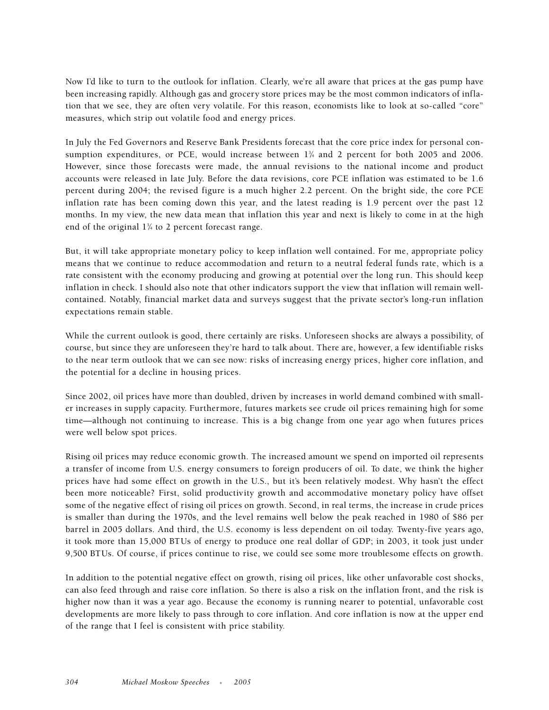Now I'd like to turn to the outlook for inflation. Clearly, we're all aware that prices at the gas pump have been increasing rapidly. Although gas and grocery store prices may be the most common indicators of inflation that we see, they are often very volatile. For this reason, economists like to look at so-called "core" measures, which strip out volatile food and energy prices.

In July the Fed Governors and Reserve Bank Presidents forecast that the core price index for personal consumption expenditures, or PCE, would increase between 13 ⁄4 and 2 percent for both 2005 and 2006. However, since those forecasts were made, the annual revisions to the national income and product accounts were released in late July. Before the data revisions, core PCE inflation was estimated to be 1.6 percent during 2004; the revised figure is a much higher 2.2 percent. On the bright side, the core PCE inflation rate has been coming down this year, and the latest reading is 1.9 percent over the past 12 months. In my view, the new data mean that inflation this year and next is likely to come in at the high end of the original 13 ⁄4 to 2 percent forecast range.

But, it will take appropriate monetary policy to keep inflation well contained. For me, appropriate policy means that we continue to reduce accommodation and return to a neutral federal funds rate, which is a rate consistent with the economy producing and growing at potential over the long run. This should keep inflation in check. I should also note that other indicators support the view that inflation will remain wellcontained. Notably, financial market data and surveys suggest that the private sector's long-run inflation expectations remain stable.

While the current outlook is good, there certainly are risks. Unforeseen shocks are always a possibility, of course, but since they are unforeseen they're hard to talk about. There are, however, a few identifiable risks to the near term outlook that we can see now: risks of increasing energy prices, higher core inflation, and the potential for a decline in housing prices.

Since 2002, oil prices have more than doubled, driven by increases in world demand combined with smaller increases in supply capacity. Furthermore, futures markets see crude oil prices remaining high for some time—although not continuing to increase. This is a big change from one year ago when futures prices were well below spot prices.

Rising oil prices may reduce economic growth. The increased amount we spend on imported oil represents a transfer of income from U.S. energy consumers to foreign producers of oil. To date, we think the higher prices have had some effect on growth in the U.S., but it's been relatively modest. Why hasn't the effect been more noticeable? First, solid productivity growth and accommodative monetary policy have offset some of the negative effect of rising oil prices on growth. Second, in real terms, the increase in crude prices is smaller than during the 1970s, and the level remains well below the peak reached in 1980 of \$86 per barrel in 2005 dollars. And third, the U.S. economy is less dependent on oil today. Twenty-five years ago, it took more than 15,000 BTUs of energy to produce one real dollar of GDP; in 2003, it took just under 9,500 BTUs. Of course, if prices continue to rise, we could see some more troublesome effects on growth.

In addition to the potential negative effect on growth, rising oil prices, like other unfavorable cost shocks, can also feed through and raise core inflation. So there is also a risk on the inflation front, and the risk is higher now than it was a year ago. Because the economy is running nearer to potential, unfavorable cost developments are more likely to pass through to core inflation. And core inflation is now at the upper end of the range that I feel is consistent with price stability.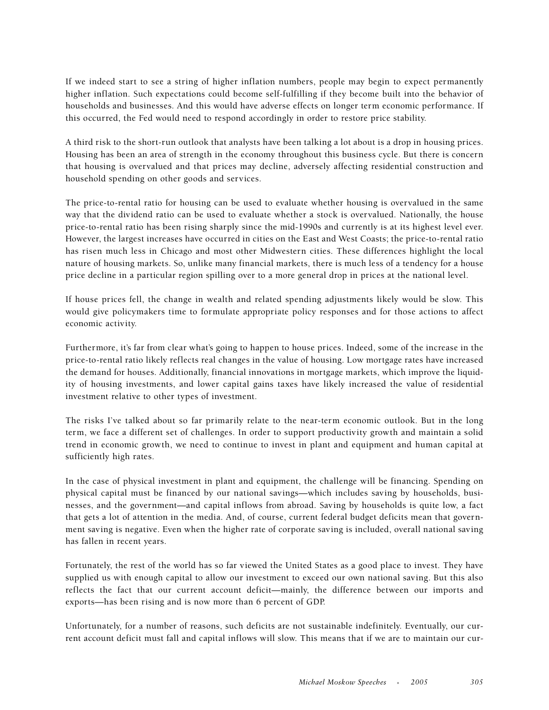If we indeed start to see a string of higher inflation numbers, people may begin to expect permanently higher inflation. Such expectations could become self-fulfilling if they become built into the behavior of households and businesses. And this would have adverse effects on longer term economic performance. If this occurred, the Fed would need to respond accordingly in order to restore price stability.

A third risk to the short-run outlook that analysts have been talking a lot about is a drop in housing prices. Housing has been an area of strength in the economy throughout this business cycle. But there is concern that housing is overvalued and that prices may decline, adversely affecting residential construction and household spending on other goods and services.

The price-to-rental ratio for housing can be used to evaluate whether housing is overvalued in the same way that the dividend ratio can be used to evaluate whether a stock is overvalued. Nationally, the house price-to-rental ratio has been rising sharply since the mid-1990s and currently is at its highest level ever. However, the largest increases have occurred in cities on the East and West Coasts; the price-to-rental ratio has risen much less in Chicago and most other Midwestern cities. These differences highlight the local nature of housing markets. So, unlike many financial markets, there is much less of a tendency for a house price decline in a particular region spilling over to a more general drop in prices at the national level.

If house prices fell, the change in wealth and related spending adjustments likely would be slow. This would give policymakers time to formulate appropriate policy responses and for those actions to affect economic activity.

Furthermore, it's far from clear what's going to happen to house prices. Indeed, some of the increase in the price-to-rental ratio likely reflects real changes in the value of housing. Low mortgage rates have increased the demand for houses. Additionally, financial innovations in mortgage markets, which improve the liquidity of housing investments, and lower capital gains taxes have likely increased the value of residential investment relative to other types of investment.

The risks I've talked about so far primarily relate to the near-term economic outlook. But in the long term, we face a different set of challenges. In order to support productivity growth and maintain a solid trend in economic growth, we need to continue to invest in plant and equipment and human capital at sufficiently high rates.

In the case of physical investment in plant and equipment, the challenge will be financing. Spending on physical capital must be financed by our national savings—which includes saving by households, businesses, and the government—and capital inflows from abroad. Saving by households is quite low, a fact that gets a lot of attention in the media. And, of course, current federal budget deficits mean that government saving is negative. Even when the higher rate of corporate saving is included, overall national saving has fallen in recent years.

Fortunately, the rest of the world has so far viewed the United States as a good place to invest. They have supplied us with enough capital to allow our investment to exceed our own national saving. But this also reflects the fact that our current account deficit—mainly, the difference between our imports and exports—has been rising and is now more than 6 percent of GDP.

Unfortunately, for a number of reasons, such deficits are not sustainable indefinitely. Eventually, our current account deficit must fall and capital inflows will slow. This means that if we are to maintain our cur